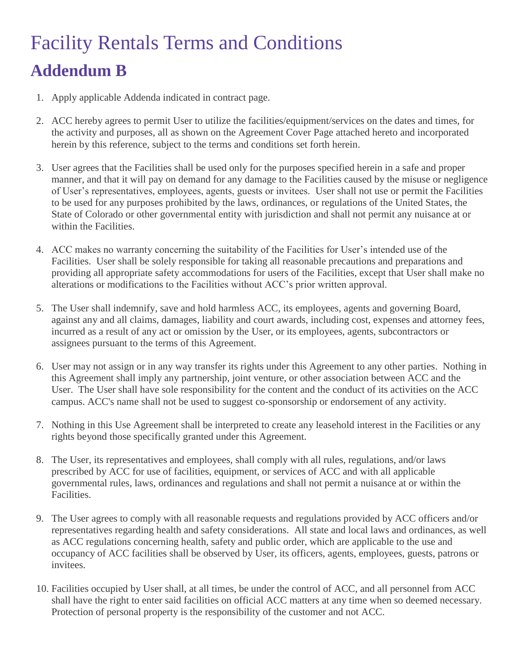## Facility Rentals Terms and Conditions **Addendum B**

- 1. Apply applicable Addenda indicated in contract page.
- 2. ACC hereby agrees to permit User to utilize the facilities/equipment/services on the dates and times, for the activity and purposes, all as shown on the Agreement Cover Page attached hereto and incorporated herein by this reference, subject to the terms and conditions set forth herein.
- 3. User agrees that the Facilities shall be used only for the purposes specified herein in a safe and proper manner, and that it will pay on demand for any damage to the Facilities caused by the misuse or negligence of User's representatives, employees, agents, guests or invitees. User shall not use or permit the Facilities to be used for any purposes prohibited by the laws, ordinances, or regulations of the United States, the State of Colorado or other governmental entity with jurisdiction and shall not permit any nuisance at or within the Facilities.
- 4. ACC makes no warranty concerning the suitability of the Facilities for User's intended use of the Facilities. User shall be solely responsible for taking all reasonable precautions and preparations and providing all appropriate safety accommodations for users of the Facilities, except that User shall make no alterations or modifications to the Facilities without ACC's prior written approval.
- 5. The User shall indemnify, save and hold harmless ACC, its employees, agents and governing Board, against any and all claims, damages, liability and court awards, including cost, expenses and attorney fees, incurred as a result of any act or omission by the User, or its employees, agents, subcontractors or assignees pursuant to the terms of this Agreement.
- 6. User may not assign or in any way transfer its rights under this Agreement to any other parties. Nothing in this Agreement shall imply any partnership, joint venture, or other association between ACC and the User. The User shall have sole responsibility for the content and the conduct of its activities on the ACC campus. ACC's name shall not be used to suggest co-sponsorship or endorsement of any activity.
- 7. Nothing in this Use Agreement shall be interpreted to create any leasehold interest in the Facilities or any rights beyond those specifically granted under this Agreement.
- 8. The User, its representatives and employees, shall comply with all rules, regulations, and/or laws prescribed by ACC for use of facilities, equipment, or services of ACC and with all applicable governmental rules, laws, ordinances and regulations and shall not permit a nuisance at or within the Facilities.
- 9. The User agrees to comply with all reasonable requests and regulations provided by ACC officers and/or representatives regarding health and safety considerations. All state and local laws and ordinances, as well as ACC regulations concerning health, safety and public order, which are applicable to the use and occupancy of ACC facilities shall be observed by User, its officers, agents, employees, guests, patrons or invitees.
- 10. Facilities occupied by User shall, at all times, be under the control of ACC, and all personnel from ACC shall have the right to enter said facilities on official ACC matters at any time when so deemed necessary. Protection of personal property is the responsibility of the customer and not ACC.